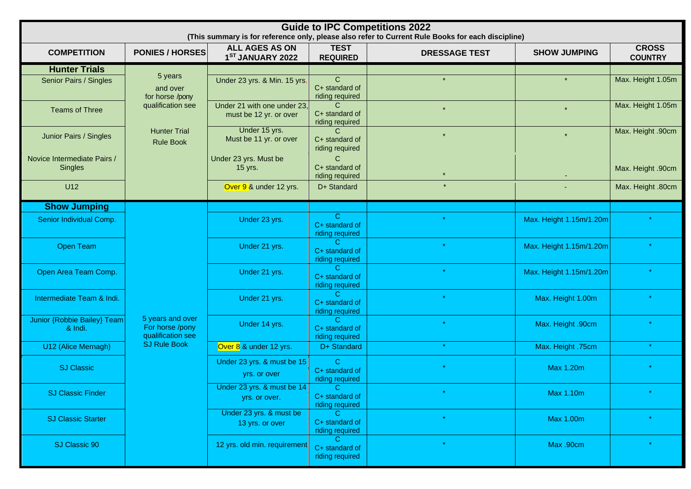| <b>Guide to IPC Competitions 2022</b><br>(This summary is for reference only, please also refer to Current Rule Books for each discipline) |                                                                                                        |                                                       |                                                    |                      |                         |                                |  |
|--------------------------------------------------------------------------------------------------------------------------------------------|--------------------------------------------------------------------------------------------------------|-------------------------------------------------------|----------------------------------------------------|----------------------|-------------------------|--------------------------------|--|
| <b>COMPETITION</b>                                                                                                                         | <b>PONIES / HORSES</b>                                                                                 | ALL AGES AS ON<br>1 <sup>ST</sup> JANUARY 2022        | <b>TEST</b><br><b>REQUIRED</b>                     | <b>DRESSAGE TEST</b> | <b>SHOW JUMPING</b>     | <b>CROSS</b><br><b>COUNTRY</b> |  |
| <b>Hunter Trials</b>                                                                                                                       |                                                                                                        |                                                       |                                                    |                      |                         |                                |  |
| Senior Pairs / Singles                                                                                                                     | 5 years<br>and over<br>for horse /pony<br>qualification see<br><b>Hunter Trial</b><br><b>Rule Book</b> | Under 23 yrs. & Min. 15 yrs.                          | $\mathsf{C}$<br>C+ standard of<br>riding required  |                      | $\star$                 | Max. Height 1.05m              |  |
| <b>Teams of Three</b>                                                                                                                      |                                                                                                        | Under 21 with one under 23,<br>must be 12 yr. or over | C.<br>C+ standard of<br>riding required            | $\star$              | $\star$                 | Max. Height 1.05m              |  |
| Junior Pairs / Singles                                                                                                                     |                                                                                                        | Under 15 yrs.<br>Must be 11 yr. or over               | C.<br>C+ standard of<br>riding required            | $\star$              | $\star$                 | Max. Height .90cm              |  |
| Novice Intermediate Pairs /<br><b>Singles</b>                                                                                              |                                                                                                        | Under 23 yrs. Must be<br>15 yrs.                      | $\mathsf{C}$<br>C+ standard of<br>riding required  |                      |                         | Max. Height .90cm              |  |
| U12                                                                                                                                        |                                                                                                        | Over 9 & under 12 yrs.                                | D+ Standard                                        |                      |                         | Max. Height .80cm              |  |
| <b>Show Jumping</b>                                                                                                                        |                                                                                                        |                                                       |                                                    |                      |                         |                                |  |
| Senior Individual Comp.                                                                                                                    |                                                                                                        | Under 23 yrs.                                         | $\mathbf{C}$<br>C+ standard of<br>riding required  |                      | Max. Height 1.15m/1.20m |                                |  |
| <b>Open Team</b>                                                                                                                           | 5 years and over<br>For horse /pony<br>qualification see                                               | Under 21 yrs.                                         | C.<br>C+ standard of<br>riding required            |                      | Max. Height 1.15m/1.20m |                                |  |
| Open Area Team Comp.                                                                                                                       |                                                                                                        | Under 21 yrs.                                         | C.<br>C+ standard of<br>riding required            | $\star$              | Max. Height 1.15m/1.20m |                                |  |
| Intermediate Team & Indi.                                                                                                                  |                                                                                                        | Under 21 yrs.                                         | C.<br>C+ standard of<br>riding required            |                      | Max. Height 1.00m       |                                |  |
| <b>Junior {Robbie Bailey} Team</b><br>& Indi.                                                                                              |                                                                                                        | Under 14 yrs.                                         | $\mathcal{C}$<br>C+ standard of<br>riding required |                      | Max. Height .90cm       |                                |  |
| U12 (Alice Mernagh)                                                                                                                        | <b>SJ Rule Book</b>                                                                                    | Over 8 & under 12 yrs.                                | D+ Standard                                        | $\star$              | Max. Height .75cm       | $\star$                        |  |
| <b>SJ Classic</b>                                                                                                                          |                                                                                                        | Under 23 yrs. & must be 15<br>yrs. or over            | $\mathbf{C}$<br>C+ standard of<br>riding required  |                      | <b>Max 1.20m</b>        |                                |  |
| <b>SJ Classic Finder</b>                                                                                                                   |                                                                                                        | Under 23 yrs. $\&$ must be 14<br>yrs. or over.        | -C i<br>C+ standard of<br>riding required          | $\star$              | Max 1.10m               |                                |  |
| <b>SJ Classic Starter</b>                                                                                                                  |                                                                                                        | Under 23 yrs. & must be<br>13 yrs. or over            | $\mathcal{C}$<br>C+ standard of<br>riding required | $\star$              | <b>Max 1.00m</b>        |                                |  |
| SJ Classic 90                                                                                                                              |                                                                                                        | 12 yrs. old min. requirement                          | C.<br>C+ standard of<br>riding required            |                      | Max .90cm               |                                |  |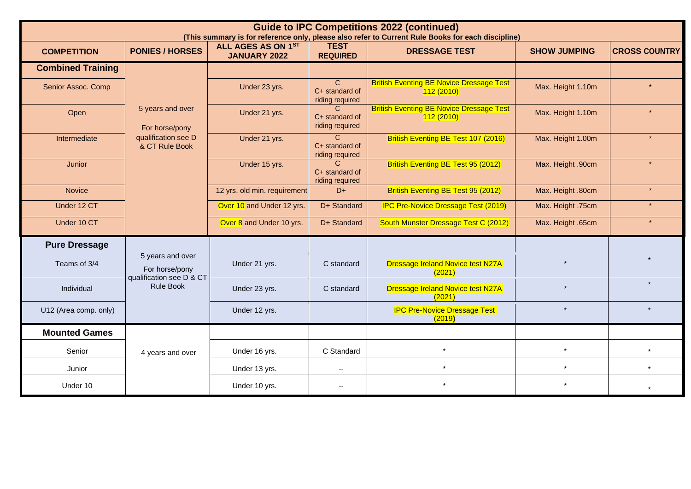| <b>Guide to IPC Competitions 2022 (continued)</b><br>(This summary is for reference only, please also refer to Current Rule Books for each discipline) |                                                                                    |                                           |                                                    |                                                              |                     |                      |  |  |
|--------------------------------------------------------------------------------------------------------------------------------------------------------|------------------------------------------------------------------------------------|-------------------------------------------|----------------------------------------------------|--------------------------------------------------------------|---------------------|----------------------|--|--|
| <b>COMPETITION</b>                                                                                                                                     | <b>PONIES / HORSES</b>                                                             | ALL AGES AS ON 1ST<br><b>JANUARY 2022</b> | <b>TEST</b><br><b>REQUIRED</b>                     | <b>DRESSAGE TEST</b>                                         | <b>SHOW JUMPING</b> | <b>CROSS COUNTRY</b> |  |  |
| <b>Combined Training</b>                                                                                                                               |                                                                                    |                                           |                                                    |                                                              |                     |                      |  |  |
| Senior Assoc. Comp                                                                                                                                     | 5 years and over<br>For horse/pony<br>qualification see D<br>& CT Rule Book        | Under 23 yrs.                             | $\mathcal{C}$<br>C+ standard of<br>riding required | <b>British Eventing BE Novice Dressage Test</b><br>112(2010) | Max. Height 1.10m   |                      |  |  |
| Open                                                                                                                                                   |                                                                                    | Under 21 yrs.                             | C.<br>C+ standard of<br>riding required            | <b>British Eventing BE Novice Dressage Test</b><br>112(2010) | Max. Height 1.10m   | $\star$              |  |  |
| Intermediate                                                                                                                                           |                                                                                    | Under 21 yrs.                             | $\mathcal{C}$<br>C+ standard of<br>riding required | British Eventing BE Test 107 (2016)                          | Max. Height 1.00m   |                      |  |  |
| <b>Junior</b>                                                                                                                                          |                                                                                    | Under 15 yrs.                             | $\mathsf{C}$<br>C+ standard of<br>riding required  | British Eventing BE Test 95 (2012)                           | Max. Height .90cm   | $\star$              |  |  |
| <b>Novice</b>                                                                                                                                          |                                                                                    | 12 yrs. old min. requirement              | $D+$                                               | British Eventing BE Test 95 (2012)                           | Max. Height .80cm   | $\star$              |  |  |
| Under 12 CT                                                                                                                                            |                                                                                    | Over 10 and Under 12 yrs.                 | D+ Standard                                        | <b>IPC Pre-Novice Dressage Test (2019)</b>                   | Max. Height .75cm   |                      |  |  |
| Under 10 CT                                                                                                                                            |                                                                                    | Over 8 and Under 10 yrs.                  | D+ Standard                                        | South Munster Dressage Test C (2012)                         | Max. Height .65cm   | $\star$              |  |  |
| <b>Pure Dressage</b>                                                                                                                                   |                                                                                    |                                           |                                                    |                                                              |                     |                      |  |  |
| Teams of 3/4                                                                                                                                           | 5 years and over<br>For horse/pony<br>qualification see D & CT<br><b>Rule Book</b> | Under 21 yrs.                             | C standard                                         | <b>Dressage Ireland Novice test N27A</b><br>(2021)           | $\star$             |                      |  |  |
| Individual                                                                                                                                             |                                                                                    | Under 23 yrs.                             | C standard                                         | <b>Dressage Ireland Novice test N27A</b><br>(2021)           |                     | $\star$              |  |  |
| U12 (Area comp. only)                                                                                                                                  |                                                                                    | Under 12 yrs.                             |                                                    | <b>IPC Pre-Novice Dressage Test</b><br>(2019)                | $\star$             | $\star$              |  |  |
| <b>Mounted Games</b>                                                                                                                                   |                                                                                    |                                           |                                                    |                                                              |                     |                      |  |  |
| Senior                                                                                                                                                 | 4 years and over                                                                   | Under 16 yrs.                             | C Standard                                         | $\star$                                                      | $\star$             |                      |  |  |
| Junior                                                                                                                                                 |                                                                                    | Under 13 yrs.                             | $\mathbf{u}$                                       |                                                              | $\star$             |                      |  |  |
| Under 10                                                                                                                                               |                                                                                    | Under 10 yrs.                             | $\overline{\phantom{a}}$                           |                                                              | $\star$             |                      |  |  |